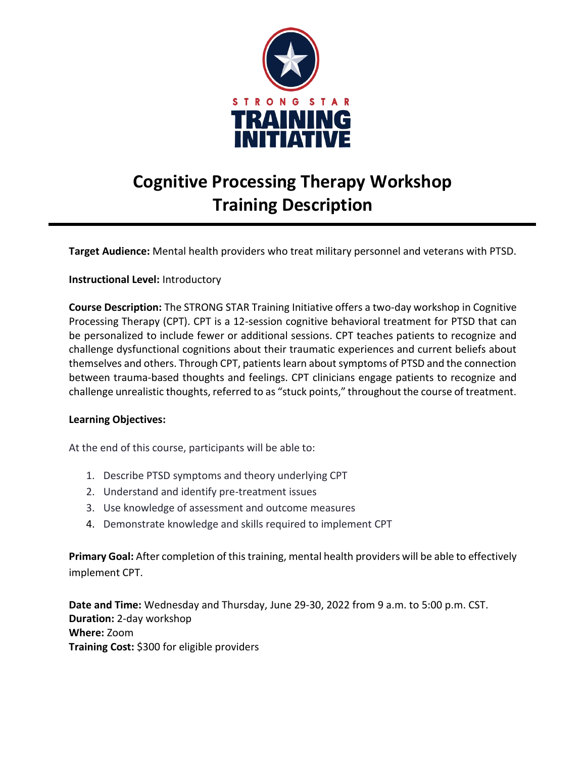

# **Cognitive Processing Therapy Workshop Training Description**

**Target Audience:** Mental health providers who treat military personnel and veterans with PTSD.

#### **Instructional Level:** Introductory

**Course Description:** The STRONG STAR Training Initiative offers a two-day workshop in Cognitive Processing Therapy (CPT). CPT is a 12-session cognitive behavioral treatment for PTSD that can be personalized to include fewer or additional sessions. CPT teaches patients to recognize and challenge dysfunctional cognitions about their traumatic experiences and current beliefs about themselves and others. Through CPT, patients learn about symptoms of PTSD and the connection between trauma-based thoughts and feelings. CPT clinicians engage patients to recognize and challenge unrealistic thoughts, referred to as "stuck points," throughout the course of treatment.

#### **Learning Objectives:**

At the end of this course, participants will be able to:

- 1. Describe PTSD symptoms and theory underlying CPT
- 2. Understand and identify pre-treatment issues
- 3. Use knowledge of assessment and outcome measures
- 4. Demonstrate knowledge and skills required to implement CPT

**Primary Goal:** After completion of this training, mental health providers will be able to effectively implement CPT.

**Date and Time:** Wednesday and Thursday, June 29-30, 2022 from 9 a.m. to 5:00 p.m. CST. **Duration:** 2-day workshop **Where:** Zoom **Training Cost:** \$300 for eligible providers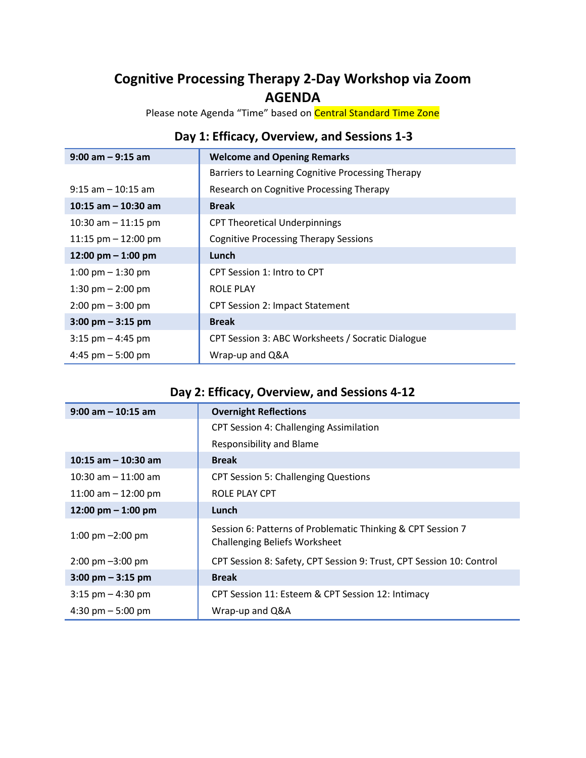## **Cognitive Processing Therapy 2-Day Workshop via Zoom AGENDA**

Please note Agenda "Time" based on Central Standard Time Zone

### **Day 1: Efficacy, Overview, and Sessions 1-3**

| $9:00$ am $-9:15$ am                | <b>Welcome and Opening Remarks</b>                |
|-------------------------------------|---------------------------------------------------|
|                                     | Barriers to Learning Cognitive Processing Therapy |
| $9:15$ am $-10:15$ am               | Research on Cognitive Processing Therapy          |
| 10:15 am $-$ 10:30 am               | <b>Break</b>                                      |
| 10:30 am $-$ 11:15 pm               | <b>CPT Theoretical Underpinnings</b>              |
| 11:15 pm $-$ 12:00 pm               | <b>Cognitive Processing Therapy Sessions</b>      |
| 12:00 pm $-$ 1:00 pm                | Lunch                                             |
| 1:00 pm $-$ 1:30 pm                 | CPT Session 1: Intro to CPT                       |
| 1:30 pm $-$ 2:00 pm                 | ROLE PLAY                                         |
| $2:00 \text{ pm} - 3:00 \text{ pm}$ | <b>CPT Session 2: Impact Statement</b>            |
| $3:00 \text{ pm} - 3:15 \text{ pm}$ | <b>Break</b>                                      |
| $3:15$ pm $-4:45$ pm                | CPT Session 3: ABC Worksheets / Socratic Dialogue |
| 4:45 pm $-$ 5:00 pm                 | Wrap-up and Q&A                                   |

## **Day 2: Efficacy, Overview, and Sessions 4-12**

| $9:00$ am $-10:15$ am               | <b>Overnight Reflections</b>                                                                        |
|-------------------------------------|-----------------------------------------------------------------------------------------------------|
|                                     | <b>CPT Session 4: Challenging Assimilation</b>                                                      |
|                                     | <b>Responsibility and Blame</b>                                                                     |
| 10:15 am $-$ 10:30 am               | <b>Break</b>                                                                                        |
| 10:30 am $-$ 11:00 am               | <b>CPT Session 5: Challenging Questions</b>                                                         |
| 11:00 am $-$ 12:00 pm               | ROLE PLAY CPT                                                                                       |
| 12:00 pm $-$ 1:00 pm                | Lunch                                                                                               |
| 1:00 pm $-2:00$ pm                  | Session 6: Patterns of Problematic Thinking & CPT Session 7<br><b>Challenging Beliefs Worksheet</b> |
| $2:00 \text{ pm} - 3:00 \text{ pm}$ | CPT Session 8: Safety, CPT Session 9: Trust, CPT Session 10: Control                                |
| $3:00 \text{ pm} - 3:15 \text{ pm}$ | <b>Break</b>                                                                                        |
| $3:15$ pm $-4:30$ pm                | CPT Session 11: Esteem & CPT Session 12: Intimacy                                                   |
| 4:30 pm $-$ 5:00 pm                 | Wrap-up and Q&A                                                                                     |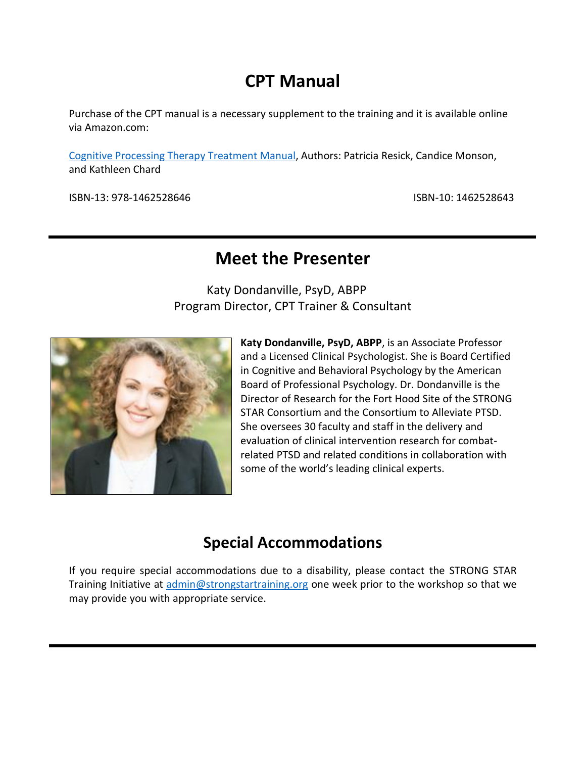# **CPT Manual**

Purchase of the CPT manual is a necessary supplement to the training and it is available online via Amazon.com:

[Cognitive Processing Therapy Treatment Manual,](https://www.amazon.com/Cognitive-Processing-Therapy-PTSD-Comprehensive/dp/1462528643/) Authors: Patricia Resick, Candice Monson, and Kathleen Chard

ISBN-13: 978-1462528646 ISBN-10: 1462528643

## **Meet the Presenter**

Katy Dondanville, PsyD, ABPP Program Director, CPT Trainer & Consultant



**Katy Dondanville, PsyD, ABPP**, is an Associate Professor and a Licensed Clinical Psychologist. She is Board Certified in Cognitive and Behavioral Psychology by the American Board of Professional Psychology. Dr. Dondanville is the Director of Research for the Fort Hood Site of the STRONG STAR Consortium and the Consortium to Alleviate PTSD. She oversees 30 faculty and staff in the delivery and evaluation of clinical intervention research for combatrelated PTSD and related conditions in collaboration with some of the world's leading clinical experts.

## **Special Accommodations**

If you require special accommodations due to a disability, please contact the STRONG STAR Training Initiative at [admin@strongstartraining.org](mailto:admin@strongstartraining.org) one week prior to the workshop so that we may provide you with appropriate service.